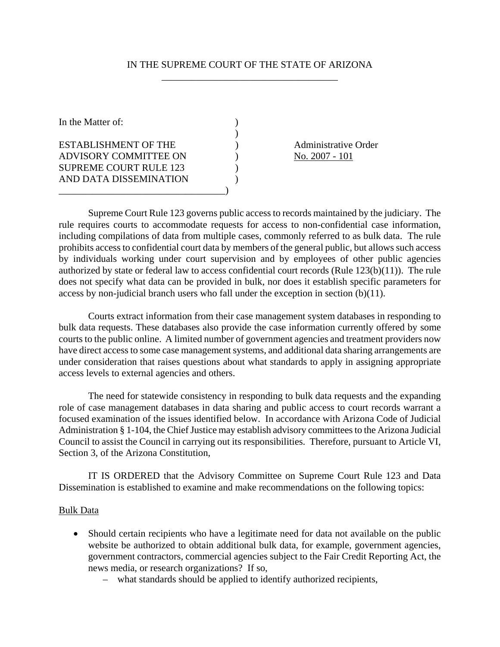#### IN THE SUPREME COURT OF THE STATE OF ARIZONA \_\_\_\_\_\_\_\_\_\_\_\_\_\_\_\_\_\_\_\_\_\_\_\_\_\_\_\_\_\_\_\_\_\_\_\_

In the Matter of:  $\qquad \qquad$  )  $)$ ESTABLISHMENT OF THE (a) Administrative Order ADVISORY COMMITTEE ON  $\qquad$  ) No. 2007 - 101 SUPREME COURT RULE 123 ) AND DATA DISSEMINATION ) \_\_\_\_\_\_\_\_\_\_\_\_\_\_\_\_\_\_\_\_\_\_\_\_\_\_\_\_\_\_\_\_\_\_)

 Supreme Court Rule 123 governs public access to records maintained by the judiciary. The rule requires courts to accommodate requests for access to non-confidential case information, including compilations of data from multiple cases, commonly referred to as bulk data. The rule prohibits access to confidential court data by members of the general public, but allows such access by individuals working under court supervision and by employees of other public agencies authorized by state or federal law to access confidential court records (Rule 123(b)(11)). The rule does not specify what data can be provided in bulk, nor does it establish specific parameters for access by non-judicial branch users who fall under the exception in section (b)(11).

 Courts extract information from their case management system databases in responding to bulk data requests. These databases also provide the case information currently offered by some courts to the public online. A limited number of government agencies and treatment providers now have direct access to some case management systems, and additional data sharing arrangements are under consideration that raises questions about what standards to apply in assigning appropriate access levels to external agencies and others.

 The need for statewide consistency in responding to bulk data requests and the expanding role of case management databases in data sharing and public access to court records warrant a focused examination of the issues identified below. In accordance with Arizona Code of Judicial Administration § 1-104, the Chief Justice may establish advisory committees to the Arizona Judicial Council to assist the Council in carrying out its responsibilities. Therefore, pursuant to Article VI, Section 3, of the Arizona Constitution,

 IT IS ORDERED that the Advisory Committee on Supreme Court Rule 123 and Data Dissemination is established to examine and make recommendations on the following topics:

#### Bulk Data

- Should certain recipients who have a legitimate need for data not available on the public website be authorized to obtain additional bulk data, for example, government agencies, government contractors, commercial agencies subject to the Fair Credit Reporting Act, the news media, or research organizations? If so,
	- what standards should be applied to identify authorized recipients,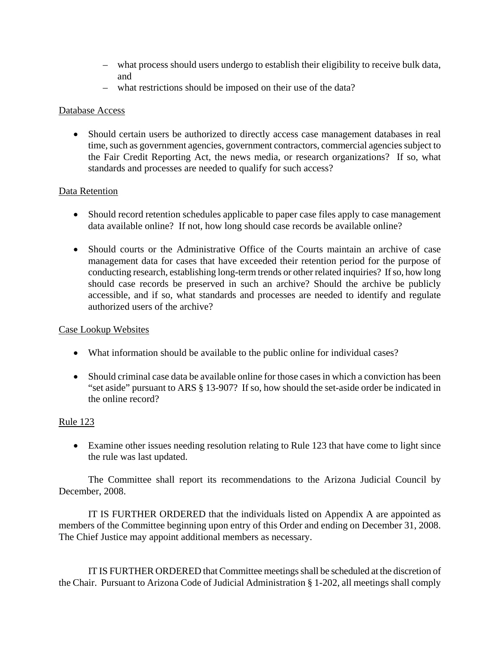- what process should users undergo to establish their eligibility to receive bulk data, and
- what restrictions should be imposed on their use of the data?

### Database Access

• Should certain users be authorized to directly access case management databases in real time, such as government agencies, government contractors, commercial agencies subject to the Fair Credit Reporting Act, the news media, or research organizations? If so, what standards and processes are needed to qualify for such access?

# Data Retention

- Should record retention schedules applicable to paper case files apply to case management data available online? If not, how long should case records be available online?
- Should courts or the Administrative Office of the Courts maintain an archive of case management data for cases that have exceeded their retention period for the purpose of conducting research, establishing long-term trends or other related inquiries? If so, how long should case records be preserved in such an archive? Should the archive be publicly accessible, and if so, what standards and processes are needed to identify and regulate authorized users of the archive?

#### Case Lookup Websites

- What information should be available to the public online for individual cases?
- Should criminal case data be available online for those cases in which a conviction has been "set aside" pursuant to ARS § 13-907? If so, how should the set-aside order be indicated in the online record?

# Rule 123

• Examine other issues needing resolution relating to Rule 123 that have come to light since the rule was last updated.

 The Committee shall report its recommendations to the Arizona Judicial Council by December, 2008.

 IT IS FURTHER ORDERED that the individuals listed on Appendix A are appointed as members of the Committee beginning upon entry of this Order and ending on December 31, 2008. The Chief Justice may appoint additional members as necessary.

 IT IS FURTHER ORDERED that Committee meetings shall be scheduled at the discretion of the Chair. Pursuant to Arizona Code of Judicial Administration § 1-202, all meetings shall comply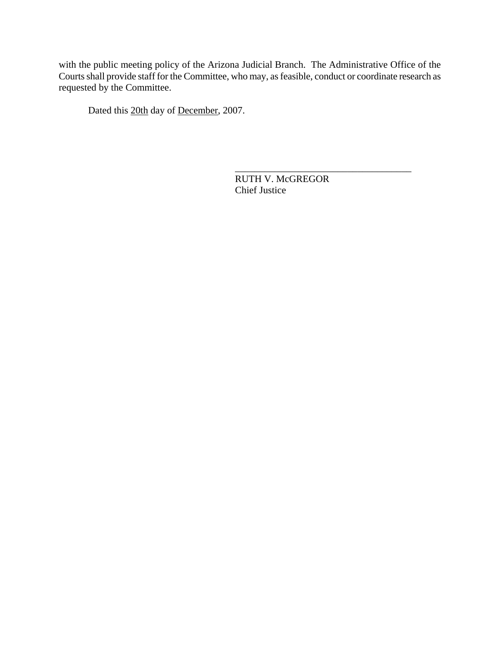with the public meeting policy of the Arizona Judicial Branch. The Administrative Office of the Courts shall provide staff for the Committee, who may, as feasible, conduct or coordinate research as requested by the Committee.

Dated this 20th day of December, 2007.

\_\_\_\_\_\_\_\_\_\_\_\_\_\_\_\_\_\_\_\_\_\_\_\_\_\_\_\_\_\_\_\_\_\_\_\_ RUTH V. McGREGOR Chief Justice